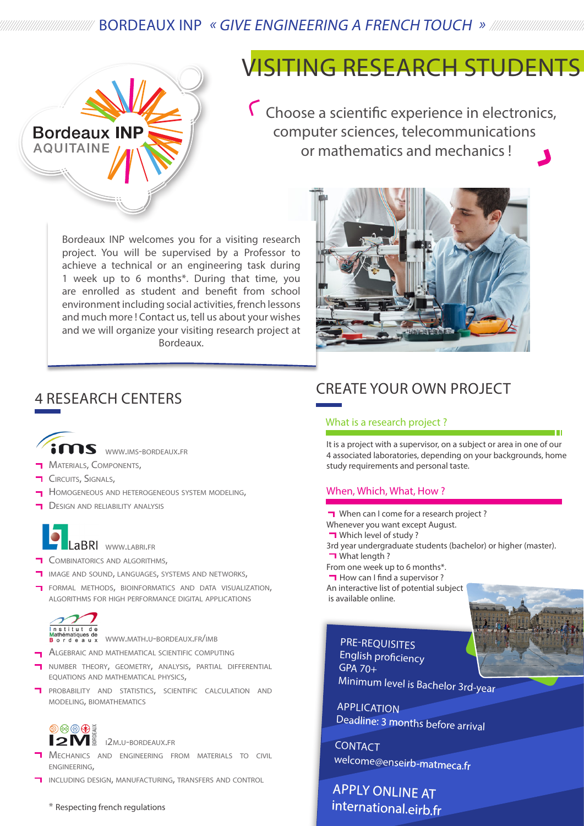### BORDEAUX INP « GIVE ENGINEERING A FRENCH TOUCH »



### VISITING RESEARCH STUDENTS

 Choose a scientific experience in electronics, computer sciences, telecommunications or mathematics and mechanics !

Bordeaux INP welcomes you for a visiting research project. You will be supervised by a Professor to achieve a technical or an engineering task during 1 week up to 6 months\*. During that time, you are enrolled as student and benefit from school environment including social activities, french lessons and much more ! Contact us, tell us about your wishes and we will organize your visiting research project at Bordeaux.

### 4 RESEARCH CENTERS



- **MATERIALS, COMPONENTS,**
- **CIRCUITS, SIGNALS,**
- Homogeneous and heterogeneous system modeling,
- Design and reliability analysis



#### LaBRI www.LABRI.FR

- Combinatorics and algorithms,
- image and sound, languages, systems and networks,
- formal methods, bioinformatics and data visualization, algorithms for high performance digital applications



<mark>M</mark>athématiques de<br>**B**ordeaux WWW.MATH.U-BORDEAUX.FR/IMB

- **ALGEBRAIC AND MATHEMATICAL SCIENTIFIC COMPUTING**
- number theory, geometry, analysis, partial differential equations and mathematical physics,
- **T** PROBABILITY AND STATISTICS, SCIENTIFIC CALCULATION AND modeling, biomathematics

### $\circledcirc \otimes \circledcirc \circledast$

**2M**<sup>B</sup><sub>2M.U-BORDEAUX.FR</sub>

- **T** Mechanics and engineering from materials to civil engineering,
- including design, manufacturing, transfers and control

\* Respecting french regulations



### CREATE YOUR OWN PROJECT

#### What is a research project ?

It is a project with a supervisor, on a subject or area in one of our 4 associated laboratories, depending on your backgrounds, home study requirements and personal taste.

#### When, Which, What, How ?

When can I come for a research project? Whenever you want except August. **T** Which level of study? 3rd year undergraduate students (bachelor) or higher (master). **T** What length ? From one week up to 6 months\*.  $\Box$  How can I find a supervisor? An interactive list of potential subject is available online.

English proficiency GPA 70+ Minimum level is Bachelor 3rd-year

**APPLICATION** Deadline: 3 months before arrival

**CONTACT** welcome@enseirb-matmeca.fr

### APPLY ONLINE AT international.eirb.fr

PRE-REQUISITES